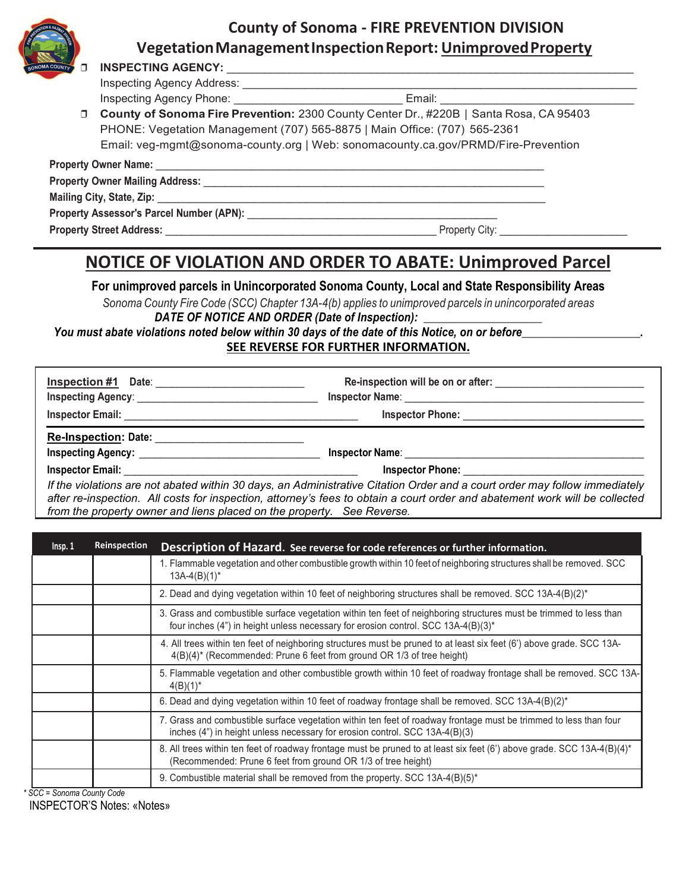

**VegetationManagementInspectionReport: UnimprovedProperty**



# ❒ **INSPECTING AGENCY:** \_\_\_\_\_\_\_\_\_\_\_\_\_\_\_\_\_\_\_\_\_\_\_\_\_\_\_\_\_\_\_\_\_\_\_\_\_\_\_\_\_\_\_\_\_\_\_\_\_\_\_\_\_\_\_\_\_\_\_\_\_\_\_\_\_

Inspecting Agency Address: \_\_\_\_\_\_\_\_\_\_\_\_\_\_\_\_\_\_\_\_\_\_\_\_\_\_\_\_\_\_\_\_\_\_\_\_\_\_\_\_\_\_\_\_\_\_\_\_\_\_\_\_\_\_\_\_\_\_\_\_\_\_\_

Inspecting Agency Phone: **Email: Email:**  $\blacksquare$ 

| □ County of Sonoma Fire Prevention: 2300 County Center Dr., #220B   Santa Rosa, CA 95403 |
|------------------------------------------------------------------------------------------|
| PHONE: Vegetation Management (707) 565-8875   Main Office: (707) 565-2361                |
| Email: veg-mgmt@sonoma-county.org   Web: sonomacounty.ca.gov/PRMD/Fire-Prevention        |

| <b>Property Owner Name:</b>                                                                                                                                                                                                    |                |
|--------------------------------------------------------------------------------------------------------------------------------------------------------------------------------------------------------------------------------|----------------|
| Property Owner Mailing Address: North State Communication of the Communication of the Communication of the Communication of the Communication of the Communication of the Communication of the Communication of the Communicat |                |
| Mailing City, State, Zip: Mailing City, State, Zip:                                                                                                                                                                            |                |
| Property Assessor's Parcel Number (APN): Next and the Second Second Seconds and Seconds Seconds and Seconds Seconds Seconds Assessor's Parcel Music Seconds Seconds and Seconds Seconds Seconds Assessor's Parcel of Seconds S |                |
| <b>Property Street Address:</b>                                                                                                                                                                                                | Property City: |

## **NOTICE OF VIOLATION AND ORDER TO ABATE: Unimproved Parcel**

#### **For unimproved parcels in Unincorporated Sonoma County, Local and State Responsibility Areas**

*Sonoma County Fire Code (SCC) Chapter 13A-4(b) applies to unimproved parcels in unincorporated areas* DATE OF NOTICE AND ORDER (Date of Inspection):

*You must abate violations noted below within 30 days of the date of this Notice, on or before\_\_\_\_\_\_\_\_\_\_\_\_\_\_\_\_\_\_\_\_.*  **SEE REVERSE FOR FURTHER INFORMATION.**

| Inspection #1 Date:                                                                                                                                                                                                                | Re-inspection will be on or after:                                                                                         |
|------------------------------------------------------------------------------------------------------------------------------------------------------------------------------------------------------------------------------------|----------------------------------------------------------------------------------------------------------------------------|
| <b>Inspecting Agency: Contract Contract Contract Contract Contract Contract Contract Contract Contract Contract Contract Contract Contract Contract Contract Contract Contract Contract Contract Contract Contract Contract Co</b> | <b>Inspector Name:</b>                                                                                                     |
| <b>Inspector Email:</b>                                                                                                                                                                                                            | <b>Inspector Phone:</b>                                                                                                    |
| <b>Re-Inspection: Date:</b>                                                                                                                                                                                                        |                                                                                                                            |
| Inspecting Agency: National Assembly and Agency and Agency and Agency and Agency and Agency and Agency and Agency and Agency and Agency and Agency and Agency and Agency and Agency and Agency and Agency and Agency and Agenc     | <b>Inspector Name:</b>                                                                                                     |
| <b>Inspector Email:</b>                                                                                                                                                                                                            | <b>Inspector Phone:</b>                                                                                                    |
|                                                                                                                                                                                                                                    | If the violations are not abated within 30 days, an Administrative Citation Order and a court order may follow immediately |

*after re-inspection. All costs for inspection, attorney's fees to obtain a court order and abatement work will be collected from the property owner and liens placed on the property. See Reverse.*

| Insp. 1   | <b>Reinspection</b><br>Description of Hazard. See reverse for code references or further information.                                                                                                   |
|-----------|---------------------------------------------------------------------------------------------------------------------------------------------------------------------------------------------------------|
|           | 1. Flammable vegetation and other combustible growth within 10 feet of neighboring structures shall be removed. SCC<br>$13A-4(B)(1)^*$                                                                  |
|           | 2. Dead and dying vegetation within 10 feet of neighboring structures shall be removed. SCC 13A-4(B)(2)*                                                                                                |
|           | 3. Grass and combustible surface vegetation within ten feet of neighboring structures must be trimmed to less than<br>four inches (4") in height unless necessary for erosion control. SCC 13A-4(B)(3)* |
|           | 4. All trees within ten feet of neighboring structures must be pruned to at least six feet (6') above grade. SCC 13A-<br>$4(B)(4)^*$ (Recommended: Prune 6 feet from ground OR 1/3 of tree height)      |
|           | 5. Flammable vegetation and other combustible growth within 10 feet of roadway frontage shall be removed. SCC 13A-<br>$4(B)(1)^*$                                                                       |
|           | 6. Dead and dying vegetation within 10 feet of roadway frontage shall be removed. SCC 13A-4(B)(2)*                                                                                                      |
|           | 7. Grass and combustible surface vegetation within ten feet of roadway frontage must be trimmed to less than four<br>inches (4") in height unless necessary for erosion control. SCC 13A-4(B)(3)        |
|           | 8. All trees within ten feet of roadway frontage must be pruned to at least six feet (6') above grade. SCC 13A-4(B)(4)*<br>(Recommended: Prune 6 feet from ground OR 1/3 of tree height)                |
| $200 - 0$ | 9. Combustible material shall be removed from the property. SCC 13A-4(B)(5)*                                                                                                                            |

 *\* SCC = Sonoma County Code*

INSPECTOR'S Notes: «Notes»